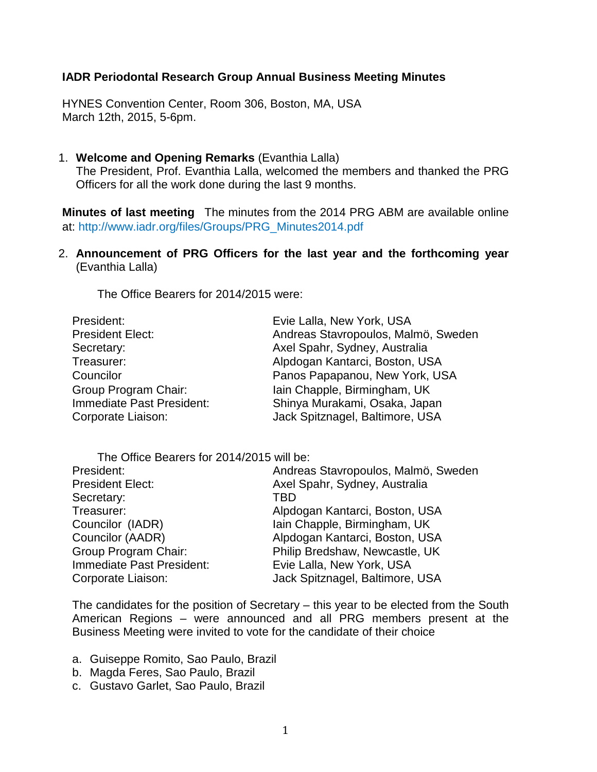## **IADR Periodontal Research Group Annual Business Meeting Minutes**

HYNES Convention Center, Room 306, Boston, MA, USA March 12th, 2015, 5-6pm.

1. **Welcome and Opening Remarks** (Evanthia Lalla) The President, Prof. Evanthia Lalla, welcomed the members and thanked the PRG Officers for all the work done during the last 9 months.

**Minutes of last meeting** The minutes from the 2014 PRG ABM are available online at: http://www.iadr.org/files/Groups/PRG\_Minutes2014.pdf

2. **Announcement of PRG Officers for the last year and the forthcoming year**  (Evanthia Lalla)

The Office Bearers for 2014/2015 were:

| Evie Lalla, New York, USA                                        |
|------------------------------------------------------------------|
| Andreas Stavropoulos, Malmö, Sweden                              |
| Axel Spahr, Sydney, Australia                                    |
| Alpdogan Kantarci, Boston, USA                                   |
| Panos Papapanou, New York, USA                                   |
| Iain Chapple, Birmingham, UK                                     |
| Shinya Murakami, Osaka, Japan<br>Jack Spitznagel, Baltimore, USA |
|                                                                  |

| The Office Bearers for 2014/2015 will be: |                                     |
|-------------------------------------------|-------------------------------------|
| President:                                | Andreas Stavropoulos, Malmö, Sweden |
| <b>President Elect:</b>                   | Axel Spahr, Sydney, Australia       |
| Secretary:                                | TBD                                 |
| Treasurer:                                | Alpdogan Kantarci, Boston, USA      |
| Councilor (IADR)                          | Iain Chapple, Birmingham, UK        |
| Councilor (AADR)                          | Alpdogan Kantarci, Boston, USA      |
| Group Program Chair:                      | Philip Bredshaw, Newcastle, UK      |
| Immediate Past President:                 | Evie Lalla, New York, USA           |
| Corporate Liaison:                        | Jack Spitznagel, Baltimore, USA     |

The candidates for the position of Secretary – this year to be elected from the South American Regions – were announced and all PRG members present at the Business Meeting were invited to vote for the candidate of their choice

- a. Guiseppe Romito, Sao Paulo, Brazil
- b. Magda Feres, Sao Paulo, Brazil
- c. Gustavo Garlet, Sao Paulo, Brazil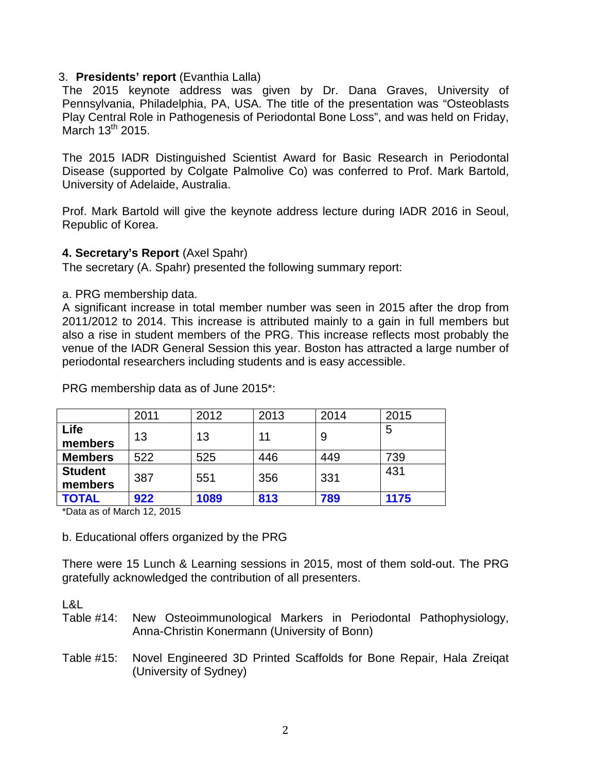## 3. **Presidents' report** (Evanthia Lalla)

The 2015 keynote address was given by Dr. Dana Graves, University of Pennsylvania, Philadelphia, PA, USA. The title of the presentation was "Osteoblasts Play Central Role in Pathogenesis of Periodontal Bone Loss", and was held on Friday, March  $13^{th}$  2015.

The 2015 IADR Distinguished Scientist Award for Basic Research in Periodontal Disease (supported by Colgate Palmolive Co) was conferred to Prof. Mark Bartold, University of Adelaide, Australia.

Prof. Mark Bartold will give the keynote address lecture during IADR 2016 in Seoul, Republic of Korea.

## **4. Secretary's Report** (Axel Spahr)

The secretary (A. Spahr) presented the following summary report:

a. PRG membership data.

A significant increase in total member number was seen in 2015 after the drop from 2011/2012 to 2014. This increase is attributed mainly to a gain in full members but also a rise in student members of the PRG. This increase reflects most probably the venue of the IADR General Session this year. Boston has attracted a large number of periodontal researchers including students and is easy accessible.

|                           | 2011 | 2012 | 2013 | 2014 | 2015 |
|---------------------------|------|------|------|------|------|
| Life<br>members           | 13   | 13   | 11   | 9    | 5    |
| <b>Members</b>            | 522  | 525  | 446  | 449  | 739  |
| <b>Student</b><br>members | 387  | 551  | 356  | 331  | 431  |
| <b>TOTAL</b>              | 922  | 1089 | 813  | 789  | 1175 |

PRG membership data as of June 2015\*:

\*Data as of March 12, 2015

b. Educational offers organized by the PRG

There were 15 Lunch & Learning sessions in 2015, most of them sold-out. The PRG gratefully acknowledged the contribution of all presenters.

 $\overline{R}$ 

Table #14: New Osteoimmunological Markers in Periodontal Pathophysiology, Anna-Christin Konermann (University of Bonn)

Table #15: Novel Engineered 3D Printed Scaffolds for Bone Repair, Hala Zreiqat (University of Sydney)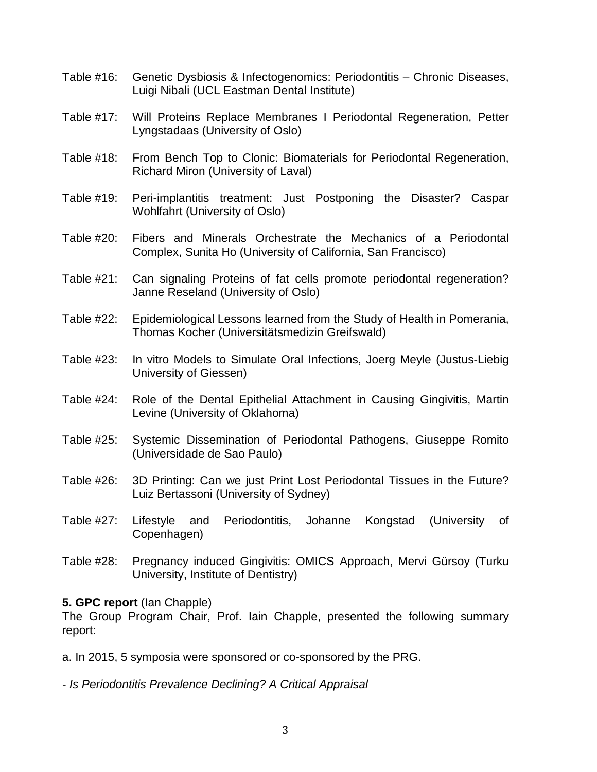- Table #16: Genetic Dysbiosis & Infectogenomics: Periodontitis Chronic Diseases, Luigi Nibali (UCL Eastman Dental Institute)
- Table #17: Will Proteins Replace Membranes I Periodontal Regeneration, Petter Lyngstadaas (University of Oslo)
- Table #18: From Bench Top to Clonic: Biomaterials for Periodontal Regeneration, Richard Miron (University of Laval)
- Table #19: Peri-implantitis treatment: Just Postponing the Disaster? Caspar Wohlfahrt (University of Oslo)
- Table #20: Fibers and Minerals Orchestrate the Mechanics of a Periodontal Complex, Sunita Ho (University of California, San Francisco)
- Table #21: Can signaling Proteins of fat cells promote periodontal regeneration? Janne Reseland (University of Oslo)
- Table #22: Epidemiological Lessons learned from the Study of Health in Pomerania, Thomas Kocher (Universitätsmedizin Greifswald)
- Table #23: In vitro Models to Simulate Oral Infections, Joerg Meyle (Justus-Liebig University of Giessen)
- Table #24: Role of the Dental Epithelial Attachment in Causing Gingivitis, Martin Levine (University of Oklahoma)
- Table #25: Systemic Dissemination of Periodontal Pathogens, Giuseppe Romito (Universidade de Sao Paulo)
- Table #26: 3D Printing: Can we just Print Lost Periodontal Tissues in the Future? Luiz Bertassoni (University of Sydney)
- Table #27: Lifestyle and Periodontitis, Johanne Kongstad (University of Copenhagen)
- Table #28: Pregnancy induced Gingivitis: OMICS Approach, Mervi Gürsoy (Turku University, Institute of Dentistry)

## **5. GPC report** (Ian Chapple)

The Group Program Chair, Prof. Iain Chapple, presented the following summary report:

a. In 2015, 5 symposia were sponsored or co-sponsored by the PRG.

*- Is Periodontitis Prevalence Declining? A Critical Appraisal*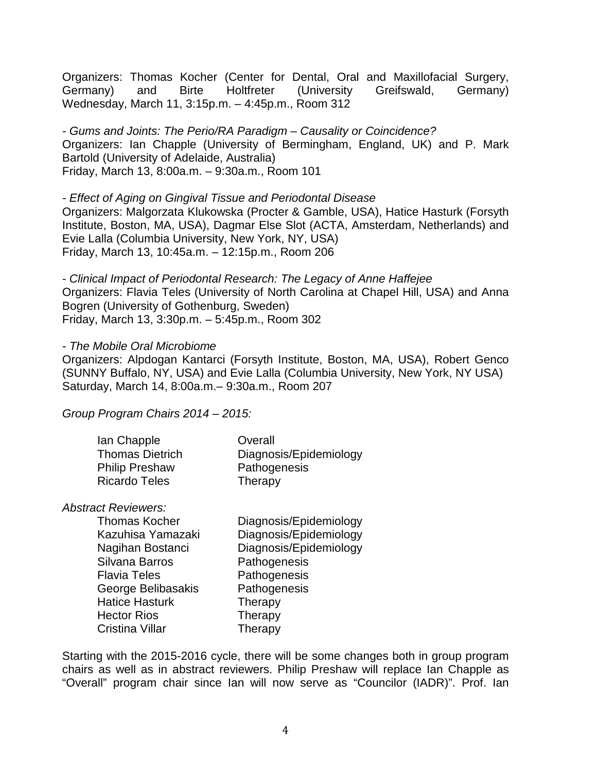Organizers: Thomas Kocher (Center for Dental, Oral and Maxillofacial Surgery, Germany) and Birte Holtfreter (University Greifswald, Germany) Wednesday, March 11, 3:15p.m. – 4:45p.m., Room 312

*- Gums and Joints: The Perio/RA Paradigm – Causality or Coincidence?* Organizers: Ian Chapple (University of Bermingham, England, UK) and P. Mark Bartold (University of Adelaide, Australia) Friday, March 13, 8:00a.m. – 9:30a.m., Room 101

*- Effect of Aging on Gingival Tissue and Periodontal Disease* Organizers: Malgorzata Klukowska (Procter & Gamble, USA), Hatice Hasturk (Forsyth Institute, Boston, MA, USA), Dagmar Else Slot (ACTA, Amsterdam, Netherlands) and Evie Lalla (Columbia University, New York, NY, USA) Friday, March 13, 10:45a.m. – 12:15p.m., Room 206

*- Clinical Impact of Periodontal Research: The Legacy of Anne Haffejee* Organizers: Flavia Teles (University of North Carolina at Chapel Hill, USA) and Anna Bogren (University of Gothenburg, Sweden) Friday, March 13, 3:30p.m. – 5:45p.m., Room 302

### *- The Mobile Oral Microbiome*

Organizers: Alpdogan Kantarci (Forsyth Institute, Boston, MA, USA), Robert Genco (SUNNY Buffalo, NY, USA) and Evie Lalla (Columbia University, New York, NY USA) Saturday, March 14, 8:00a.m.– 9:30a.m., Room 207

*Group Program Chairs 2014 – 2015:*

| lan Chapple            | Overall                |
|------------------------|------------------------|
| <b>Thomas Dietrich</b> | Diagnosis/Epidemiology |
| <b>Philip Preshaw</b>  | Pathogenesis           |
| <b>Ricardo Teles</b>   | Therapy                |

### *Abstract Reviewers:*

Silvana Barros **Pathogenesis** Flavia Teles **Pathogenesis** George Belibasakis Pathogenesis Hatice Hasturk Therapy Hector Rios Therapy Cristina Villar **Therapy** 

Thomas Kocher Diagnosis/Epidemiology Kazuhisa Yamazaki Diagnosis/Epidemiology Nagihan Bostanci Diagnosis/Epidemiology

Starting with the 2015-2016 cycle, there will be some changes both in group program chairs as well as in abstract reviewers. Philip Preshaw will replace Ian Chapple as "Overall" program chair since Ian will now serve as "Councilor (IADR)". Prof. Ian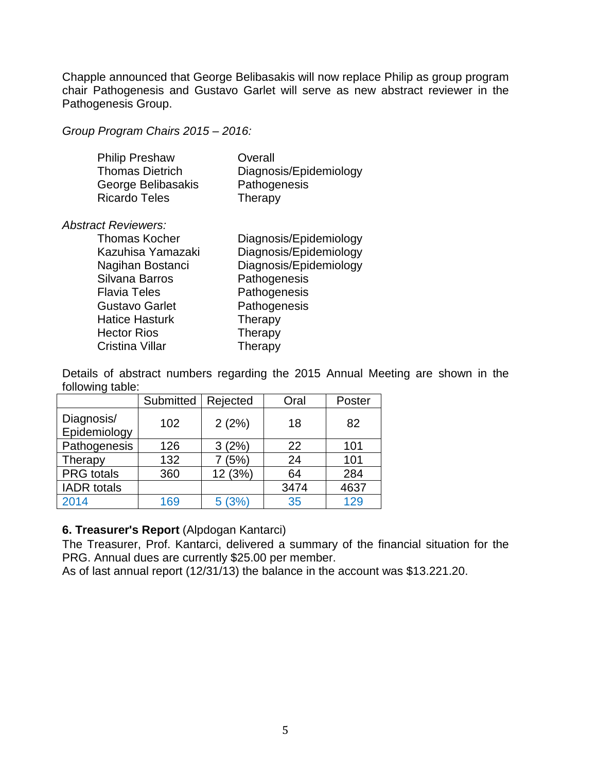Chapple announced that George Belibasakis will now replace Philip as group program chair Pathogenesis and Gustavo Garlet will serve as new abstract reviewer in the Pathogenesis Group.

*Group Program Chairs 2015 – 2016:*

| <b>Philip Preshaw</b>  | Overall                |
|------------------------|------------------------|
| <b>Thomas Dietrich</b> | Diagnosis/Epidemiology |
| George Belibasakis     | Pathogenesis           |
| <b>Ricardo Teles</b>   | Therapy                |

## *Abstract Reviewers:*

| <b>Thomas Kocher</b>  | Diagnosis/Epidemiology |
|-----------------------|------------------------|
| Kazuhisa Yamazaki     | Diagnosis/Epidemiology |
| Nagihan Bostanci      | Diagnosis/Epidemiology |
| Silvana Barros        | Pathogenesis           |
| <b>Flavia Teles</b>   | Pathogenesis           |
| <b>Gustavo Garlet</b> | Pathogenesis           |
| <b>Hatice Hasturk</b> | Therapy                |
| <b>Hector Rios</b>    | Therapy                |
| Cristina Villar       | Therapy                |

Details of abstract numbers regarding the 2015 Annual Meeting are shown in the following table:

|                            | Submitted | Rejected | Oral | Poster |
|----------------------------|-----------|----------|------|--------|
| Diagnosis/<br>Epidemiology | 102       | 2(2%)    | 18   | 82     |
| Pathogenesis               | 126       | 3(2%)    | 22   | 101    |
| Therapy                    | 132       | (5%)     | 24   | 101    |
| <b>PRG</b> totals          | 360       | 12 (3%)  | 64   | 284    |
| <b>IADR</b> totals         |           |          | 3474 | 4637   |
| 2014                       | 169       | 5(3%)    | 35   | 129    |

# **6. Treasurer's Report** (Alpdogan Kantarci)

The Treasurer, Prof. Kantarci, delivered a summary of the financial situation for the PRG. Annual dues are currently \$25.00 per member.

As of last annual report (12/31/13) the balance in the account was \$13.221.20.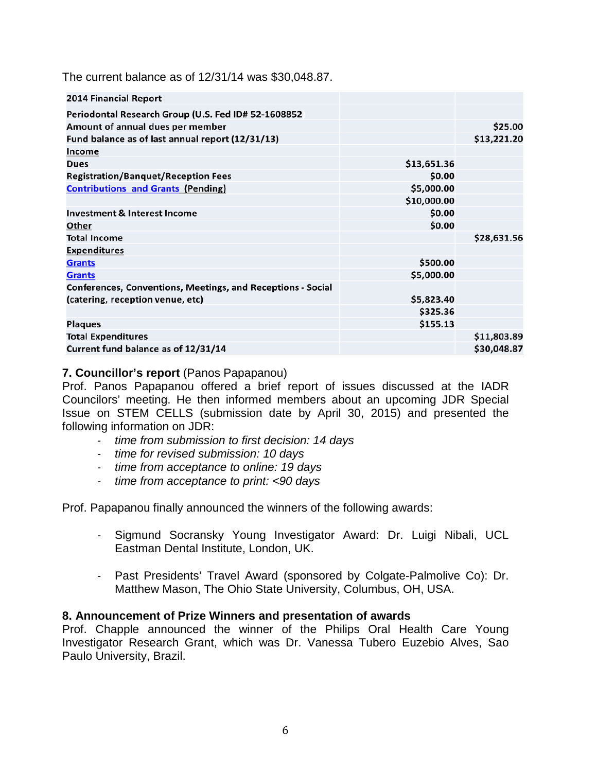The current balance as of 12/31/14 was \$30,048.87.

| <b>2014 Financial Report</b>                                |             |             |
|-------------------------------------------------------------|-------------|-------------|
| Periodontal Research Group (U.S. Fed ID# 52-1608852         |             |             |
| Amount of annual dues per member                            |             | \$25.00     |
| Fund balance as of last annual report (12/31/13)            |             | \$13,221.20 |
| Income                                                      |             |             |
| <b>Dues</b>                                                 | \$13,651.36 |             |
| <b>Registration/Banquet/Reception Fees</b>                  | \$0.00      |             |
| <b>Contributions and Grants (Pending)</b>                   | \$5,000.00  |             |
|                                                             | \$10,000.00 |             |
| <b>Investment &amp; Interest Income</b>                     | \$0.00      |             |
| Other                                                       | \$0.00      |             |
| <b>Total Income</b>                                         |             | \$28,631.56 |
| <b>Expenditures</b>                                         |             |             |
| <b>Grants</b>                                               | \$500.00    |             |
| <b>Grants</b>                                               | \$5,000.00  |             |
| Conferences, Conventions, Meetings, and Receptions - Social |             |             |
| (catering, reception venue, etc)                            | \$5,823.40  |             |
|                                                             | \$325.36    |             |
| <b>Plaques</b>                                              | \$155.13    |             |
| <b>Total Expenditures</b>                                   |             | \$11,803.89 |
| Current fund balance as of 12/31/14                         |             | \$30,048.87 |

## **7. Councillor's report** (Panos Papapanou)

Prof. Panos Papapanou offered a brief report of issues discussed at the IADR Councilors' meeting. He then informed members about an upcoming JDR Special Issue on STEM CELLS (submission date by April 30, 2015) and presented the following information on JDR:

- *- time from submission to first decision: 14 days*
- *- time for revised submission: 10 days*
- *- time from acceptance to online: 19 days*
- *- time from acceptance to print: <90 days*

Prof. Papapanou finally announced the winners of the following awards:

- *-* Sigmund Socransky Young Investigator Award: Dr. Luigi Nibali, UCL Eastman Dental Institute, London, UK.
- *-* Past Presidents' Travel Award (sponsored by Colgate-Palmolive Co): Dr. Matthew Mason, The Ohio State University, Columbus, OH, USA.

### **8. Announcement of Prize Winners and presentation of awards**

Prof. Chapple announced the winner of the Philips Oral Health Care Young Investigator Research Grant, which was Dr. Vanessa Tubero Euzebio Alves, Sao Paulo University, Brazil.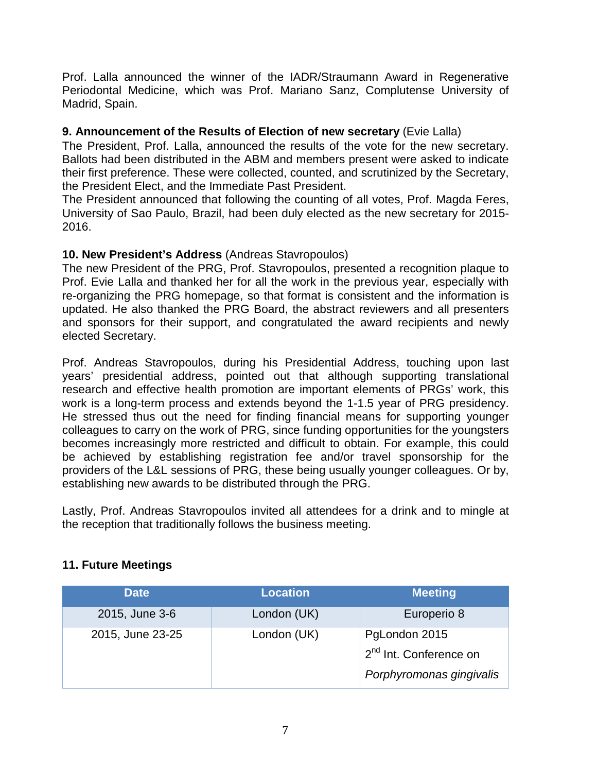Prof. Lalla announced the winner of the IADR/Straumann Award in Regenerative Periodontal Medicine, which was Prof. Mariano Sanz, Complutense University of Madrid, Spain.

## **9. Announcement of the Results of Election of new secretary** (Evie Lalla)

The President, Prof. Lalla, announced the results of the vote for the new secretary. Ballots had been distributed in the ABM and members present were asked to indicate their first preference. These were collected, counted, and scrutinized by the Secretary, the President Elect, and the Immediate Past President.

The President announced that following the counting of all votes, Prof. Magda Feres, University of Sao Paulo, Brazil, had been duly elected as the new secretary for 2015- 2016.

# **10. New President's Address** (Andreas Stavropoulos)

The new President of the PRG, Prof. Stavropoulos, presented a recognition plaque to Prof. Evie Lalla and thanked her for all the work in the previous year, especially with re-organizing the PRG homepage, so that format is consistent and the information is updated. He also thanked the PRG Board, the abstract reviewers and all presenters and sponsors for their support, and congratulated the award recipients and newly elected Secretary.

Prof. Andreas Stavropoulos, during his Presidential Address, touching upon last years' presidential address, pointed out that although supporting translational research and effective health promotion are important elements of PRGs' work, this work is a long-term process and extends beyond the 1-1.5 year of PRG presidency. He stressed thus out the need for finding financial means for supporting younger colleagues to carry on the work of PRG, since funding opportunities for the youngsters becomes increasingly more restricted and difficult to obtain. For example, this could be achieved by establishing registration fee and/or travel sponsorship for the providers of the L&L sessions of PRG, these being usually younger colleagues. Or by, establishing new awards to be distributed through the PRG.

Lastly, Prof. Andreas Stavropoulos invited all attendees for a drink and to mingle at the reception that traditionally follows the business meeting.

| <b>Date</b>      | <b>Location</b> | <b>Meeting</b>                                                                  |
|------------------|-----------------|---------------------------------------------------------------------------------|
| 2015, June 3-6   | London (UK)     | Europerio 8                                                                     |
| 2015, June 23-25 | London (UK)     | PgLondon 2015<br>2 <sup>nd</sup> Int. Conference on<br>Porphyromonas gingivalis |

# **11. Future Meetings**